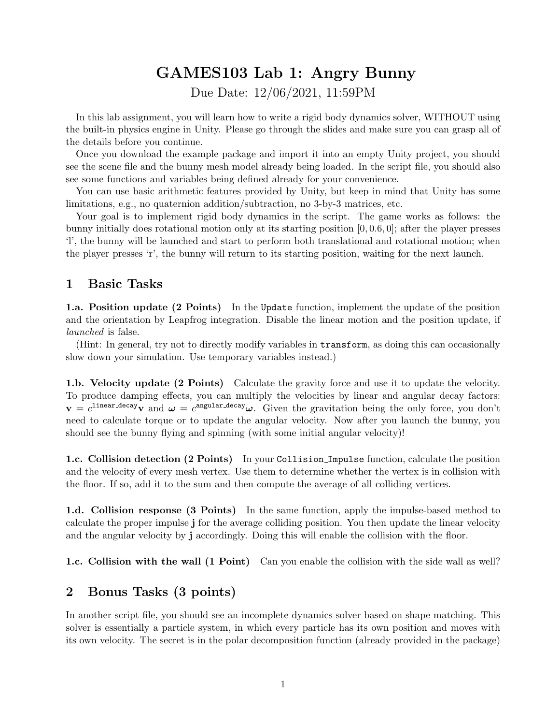## GAMES103 Lab 1: Angry Bunny

Due Date: 12/06/2021, 11:59PM

In this lab assignment, you will learn how to write a rigid body dynamics solver, WITHOUT using the built-in physics engine in Unity. Please go through the slides and make sure you can grasp all of the details before you continue.

Once you download the example package and import it into an empty Unity project, you should see the scene file and the bunny mesh model already being loaded. In the script file, you should also see some functions and variables being defined already for your convenience.

You can use basic arithmetic features provided by Unity, but keep in mind that Unity has some limitations, e.g., no quaternion addition/subtraction, no 3-by-3 matrices, etc.

Your goal is to implement rigid body dynamics in the script. The game works as follows: the bunny initially does rotational motion only at its starting position  $[0, 0.6, 0]$ ; after the player presses 'l', the bunny will be launched and start to perform both translational and rotational motion; when the player presses 'r', the bunny will return to its starting position, waiting for the next launch.

## 1 Basic Tasks

1.a. Position update (2 Points) In the Update function, implement the update of the position and the orientation by Leapfrog integration. Disable the linear motion and the position update, if launched is false.

(Hint: In general, try not to directly modify variables in transform, as doing this can occasionally slow down your simulation. Use temporary variables instead.)

1.b. Velocity update (2 Points) Calculate the gravity force and use it to update the velocity. To produce damping effects, you can multiply the velocities by linear and angular decay factors:  $\mathbf{v} = c^{\text{linear-decay}} \mathbf{v}$  and  $\boldsymbol{\omega} = c^{\text{angular-decay}} \boldsymbol{\omega}$ . Given the gravitation being the only force, you don't need to calculate torque or to update the angular velocity. Now after you launch the bunny, you should see the bunny flying and spinning (with some initial angular velocity)!

1.c. Collision detection (2 Points) In your Collision Impulse function, calculate the position and the velocity of every mesh vertex. Use them to determine whether the vertex is in collision with the floor. If so, add it to the sum and then compute the average of all colliding vertices.

1.d. Collision response (3 Points) In the same function, apply the impulse-based method to calculate the proper impulse j for the average colliding position. You then update the linear velocity and the angular velocity by j accordingly. Doing this will enable the collision with the floor.

**1.c. Collision with the wall (1 Point)** Can you enable the collision with the side wall as well?

## 2 Bonus Tasks (3 points)

In another script file, you should see an incomplete dynamics solver based on shape matching. This solver is essentially a particle system, in which every particle has its own position and moves with its own velocity. The secret is in the polar decomposition function (already provided in the package)